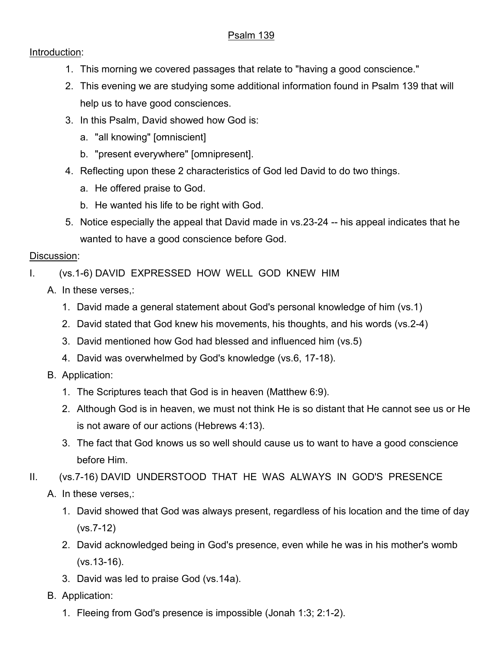## Psalm 139

## Introduction:

- 1. This morning we covered passages that relate to "having a good conscience."
- 2. This evening we are studying some additional information found in Psalm 139 that will help us to have good consciences.
- 3. In this Psalm, David showed how God is:
	- a. "all knowing" [omniscient]
	- b. "present everywhere" [omnipresent].
- 4. Reflecting upon these 2 characteristics of God led David to do two things.
	- a. He offered praise to God.
	- b. He wanted his life to be right with God.
- 5. Notice especially the appeal that David made in vs.23-24 -- his appeal indicates that he wanted to have a good conscience before God.

## Discussion:

- I. (vs.1-6) DAVID EXPRESSED HOW WELL GOD KNEW HIM
	- A. In these verses,:
		- 1. David made a general statement about God's personal knowledge of him (vs.1)
		- 2. David stated that God knew his movements, his thoughts, and his words (vs.2-4)
		- 3. David mentioned how God had blessed and influenced him (vs.5)
		- 4. David was overwhelmed by God's knowledge (vs.6, 17-18).
	- B. Application:
		- 1. The Scriptures teach that God is in heaven (Matthew 6:9).
		- 2. Although God is in heaven, we must not think He is so distant that He cannot see us or He is not aware of our actions (Hebrews 4:13).
		- 3. The fact that God knows us so well should cause us to want to have a good conscience before Him.
- II. (vs.7-16) DAVID UNDERSTOOD THAT HE WAS ALWAYS IN GOD'S PRESENCE
	- A. In these verses,:
		- 1. David showed that God was always present, regardless of his location and the time of day (vs.7-12)
		- 2. David acknowledged being in God's presence, even while he was in his mother's womb (vs.13-16).
		- 3. David was led to praise God (vs.14a).
	- B. Application:
		- 1. Fleeing from God's presence is impossible (Jonah 1:3; 2:1-2).